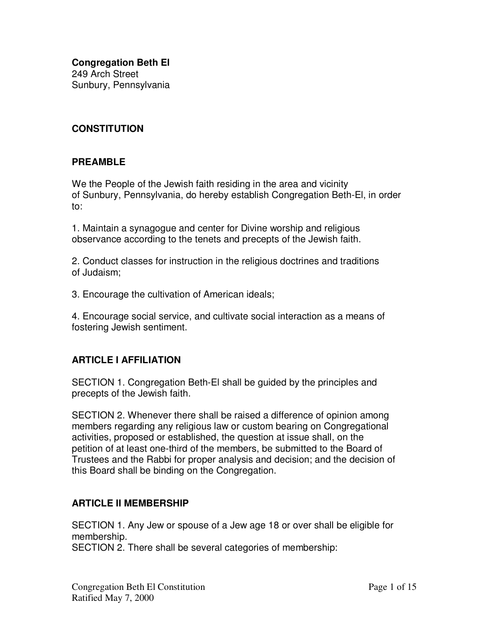**Congregation Beth El** 249 Arch Street Sunbury, Pennsylvania

### **CONSTITUTION**

#### **PREAMBLE**

We the People of the Jewish faith residing in the area and vicinity of Sunbury, Pennsylvania, do hereby establish Congregation Beth-El, in order to:

1. Maintain a synagogue and center for Divine worship and religious observance according to the tenets and precepts of the Jewish faith.

2. Conduct classes for instruction in the religious doctrines and traditions of Judaism;

3. Encourage the cultivation of American ideals;

4. Encourage social service, and cultivate social interaction as a means of fostering Jewish sentiment.

#### **ARTICLE I AFFILIATION**

SECTION 1. Congregation Beth-El shall be guided by the principles and precepts of the Jewish faith.

SECTION 2. Whenever there shall be raised a difference of opinion among members regarding any religious law or custom bearing on Congregational activities, proposed or established, the question at issue shall, on the petition of at least one-third of the members, be submitted to the Board of Trustees and the Rabbi for proper analysis and decision; and the decision of this Board shall be binding on the Congregation.

#### **ARTICLE II MEMBERSHIP**

SECTION 1. Any Jew or spouse of a Jew age 18 or over shall be eligible for membership. SECTION 2. There shall be several categories of membership: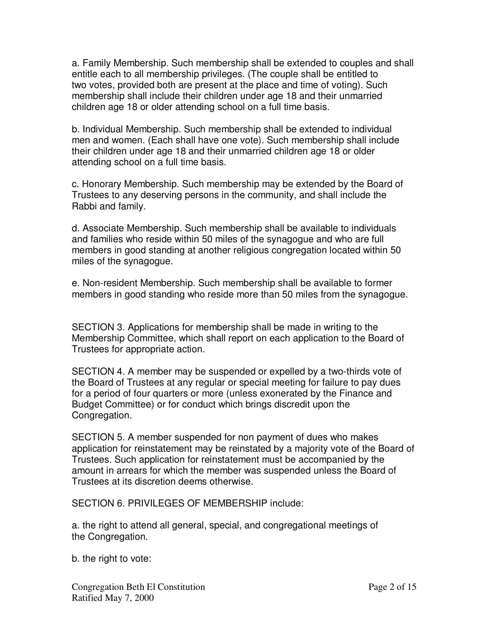a. Family Membership. Such membership shall be extended to couples and shall entitle each to all membership privileges. (The couple shall be entitled to two votes, provided both are present at the place and time of voting). Such membership shall include their children under age 18 and their unmarried children age 18 or older attending school on a full time basis.

b. Individual Membership. Such membership shall be extended to individual men and women. (Each shall have one vote). Such membership shall include their children under age 18 and their unmarried children age 18 or older attending school on a full time basis.

c. Honorary Membership. Such membership may be extended by the Board of Trustees to any deserving persons in the community, and shall include the Rabbi and family.

d. Associate Membership. Such membership shall be available to individuals and families who reside within 50 miles of the synagogue and who are full members in good standing at another religious congregation located within 50 miles of the synagogue.

e. Non-resident Membership. Such membership shall be available to former members in good standing who reside more than 50 miles from the synagogue.

SECTION 3. Applications for membership shall be made in writing to the Membership Committee, which shall report on each application to the Board of Trustees for appropriate action.

SECTION 4. A member may be suspended or expelled by a two-thirds vote of the Board of Trustees at any regular or special meeting for failure to pay dues for a period of four quarters or more (unless exonerated by the Finance and Budget Committee) or for conduct which brings discredit upon the Congregation.

SECTION 5. A member suspended for non payment of dues who makes application for reinstatement may be reinstated by a majority vote of the Board of Trustees. Such application for reinstatement must be accompanied by the amount in arrears for which the member was suspended unless the Board of Trustees at its discretion deems otherwise.

SECTION 6. PRIVILEGES OF MEMBERSHIP include:

a. the right to attend all general, special, and congregational meetings of the Congregation.

b. the right to vote:

Congregation Beth El Constitution **Page 2** of 15 Ratified May 7, 2000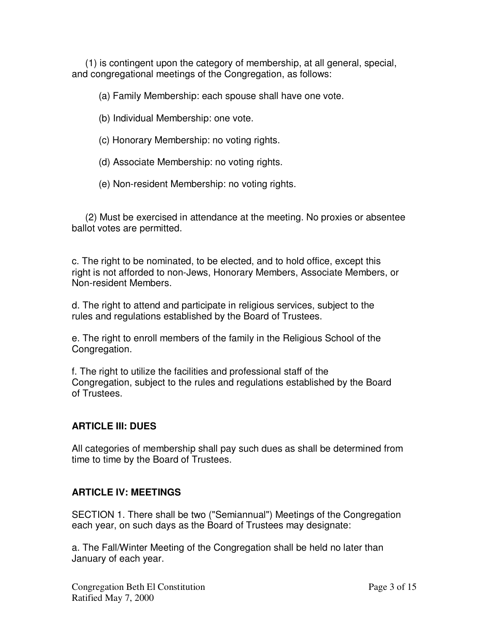(1) is contingent upon the category of membership, at all general, special, and congregational meetings of the Congregation, as follows:

(a) Family Membership: each spouse shall have one vote.

(b) Individual Membership: one vote.

(c) Honorary Membership: no voting rights.

(d) Associate Membership: no voting rights.

(e) Non-resident Membership: no voting rights.

(2) Must be exercised in attendance at the meeting. No proxies or absentee ballot votes are permitted.

c. The right to be nominated, to be elected, and to hold office, except this right is not afforded to non-Jews, Honorary Members, Associate Members, or Non-resident Members.

d. The right to attend and participate in religious services, subject to the rules and regulations established by the Board of Trustees.

e. The right to enroll members of the family in the Religious School of the Congregation.

f. The right to utilize the facilities and professional staff of the Congregation, subject to the rules and regulations established by the Board of Trustees.

#### **ARTICLE III: DUES**

All categories of membership shall pay such dues as shall be determined from time to time by the Board of Trustees.

#### **ARTICLE IV: MEETINGS**

SECTION 1. There shall be two ("Semiannual") Meetings of the Congregation each year, on such days as the Board of Trustees may designate:

a. The Fall/Winter Meeting of the Congregation shall be held no later than January of each year.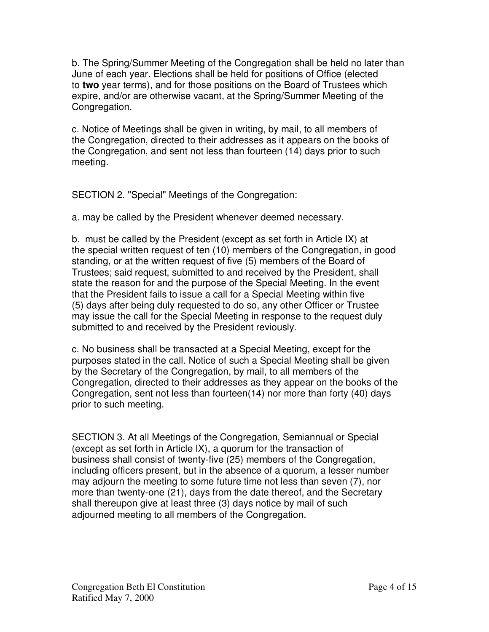b. The Spring/Summer Meeting of the Congregation shall be held no later than June of each year. Elections shall be held for positions of Office (elected to **two** year terms), and for those positions on the Board of Trustees which expire, and/or are otherwise vacant, at the Spring/Summer Meeting of the Congregation.

c. Notice of Meetings shall be given in writing, by mail, to all members of the Congregation, directed to their addresses as it appears on the books of the Congregation, and sent not less than fourteen (14) days prior to such meeting.

SECTION 2. "Special" Meetings of the Congregation:

a. may be called by the President whenever deemed necessary.

b. must be called by the President (except as set forth in Article IX) at the special written request of ten (10) members of the Congregation, in good standing, or at the written request of five (5) members of the Board of Trustees; said request, submitted to and received by the President, shall state the reason for and the purpose of the Special Meeting. In the event that the President fails to issue a call for a Special Meeting within five (5) days after being duly requested to do so, any other Officer or Trustee may issue the call for the Special Meeting in response to the request duly submitted to and received by the President reviously.

c. No business shall be transacted at a Special Meeting, except for the purposes stated in the call. Notice of such a Special Meeting shall be given by the Secretary of the Congregation, by mail, to all members of the Congregation, directed to their addresses as they appear on the books of the Congregation, sent not less than fourteen(14) nor more than forty (40) days prior to such meeting.

SECTION 3. At all Meetings of the Congregation, Semiannual or Special (except as set forth in Article IX), a quorum for the transaction of business shall consist of twenty-five (25) members of the Congregation, including officers present, but in the absence of a quorum, a lesser number may adjourn the meeting to some future time not less than seven (7), nor more than twenty-one (21), days from the date thereof, and the Secretary shall thereupon give at least three (3) days notice by mail of such adjourned meeting to all members of the Congregation.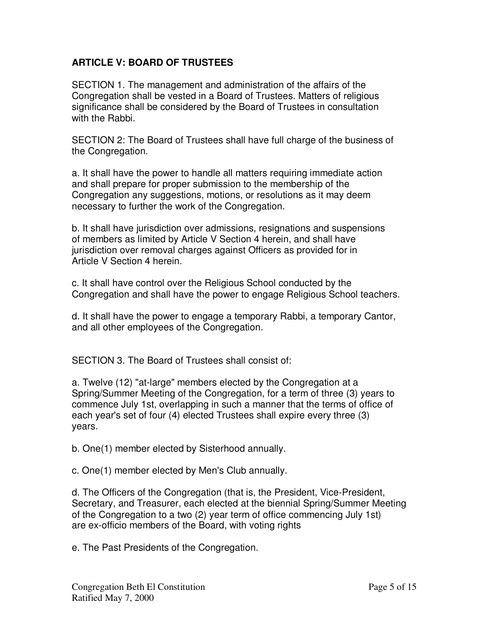### **ARTICLE V: BOARD OF TRUSTEES**

SECTION 1. The management and administration of the affairs of the Congregation shall be vested in a Board of Trustees. Matters of religious significance shall be considered by the Board of Trustees in consultation with the Rabbi.

SECTION 2: The Board of Trustees shall have full charge of the business of the Congregation.

a. It shall have the power to handle all matters requiring immediate action and shall prepare for proper submission to the membership of the Congregation any suggestions, motions, or resolutions as it may deem necessary to further the work of the Congregation.

b. It shall have jurisdiction over admissions, resignations and suspensions of members as limited by Article V Section 4 herein, and shall have jurisdiction over removal charges against Officers as provided for in Article V Section 4 herein.

c. It shall have control over the Religious School conducted by the Congregation and shall have the power to engage Religious School teachers.

d. It shall have the power to engage a temporary Rabbi, a temporary Cantor, and all other employees of the Congregation.

SECTION 3. The Board of Trustees shall consist of:

a. Twelve (12) "at-large" members elected by the Congregation at a Spring/Summer Meeting of the Congregation, for a term of three (3) years to commence July 1st, overlapping in such a manner that the terms of office of each year's set of four (4) elected Trustees shall expire every three (3) years.

b. One(1) member elected by Sisterhood annually.

c. One(1) member elected by Men's Club annually.

d. The Officers of the Congregation (that is, the President, Vice-President, Secretary, and Treasurer, each elected at the biennial Spring/Summer Meeting of the Congregation to a two (2) year term of office commencing July 1st) are ex-officio members of the Board, with voting rights

e. The Past Presidents of the Congregation.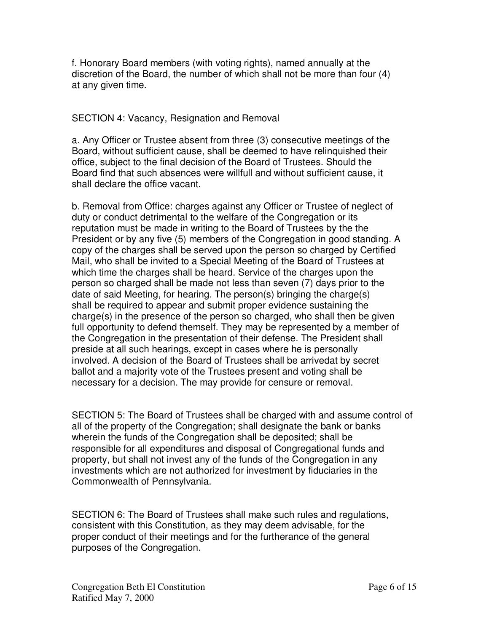f. Honorary Board members (with voting rights), named annually at the discretion of the Board, the number of which shall not be more than four (4) at any given time.

#### SECTION 4: Vacancy, Resignation and Removal

a. Any Officer or Trustee absent from three (3) consecutive meetings of the Board, without sufficient cause, shall be deemed to have relinquished their office, subject to the final decision of the Board of Trustees. Should the Board find that such absences were willfull and without sufficient cause, it shall declare the office vacant.

b. Removal from Office: charges against any Officer or Trustee of neglect of duty or conduct detrimental to the welfare of the Congregation or its reputation must be made in writing to the Board of Trustees by the the President or by any five (5) members of the Congregation in good standing. A copy of the charges shall be served upon the person so charged by Certified Mail, who shall be invited to a Special Meeting of the Board of Trustees at which time the charges shall be heard. Service of the charges upon the person so charged shall be made not less than seven (7) days prior to the date of said Meeting, for hearing. The person(s) bringing the charge(s) shall be required to appear and submit proper evidence sustaining the charge(s) in the presence of the person so charged, who shall then be given full opportunity to defend themself. They may be represented by a member of the Congregation in the presentation of their defense. The President shall preside at all such hearings, except in cases where he is personally involved. A decision of the Board of Trustees shall be arrivedat by secret ballot and a majority vote of the Trustees present and voting shall be necessary for a decision. The may provide for censure or removal.

SECTION 5: The Board of Trustees shall be charged with and assume control of all of the property of the Congregation; shall designate the bank or banks wherein the funds of the Congregation shall be deposited; shall be responsible for all expenditures and disposal of Congregational funds and property, but shall not invest any of the funds of the Congregation in any investments which are not authorized for investment by fiduciaries in the Commonwealth of Pennsylvania.

SECTION 6: The Board of Trustees shall make such rules and regulations, consistent with this Constitution, as they may deem advisable, for the proper conduct of their meetings and for the furtherance of the general purposes of the Congregation.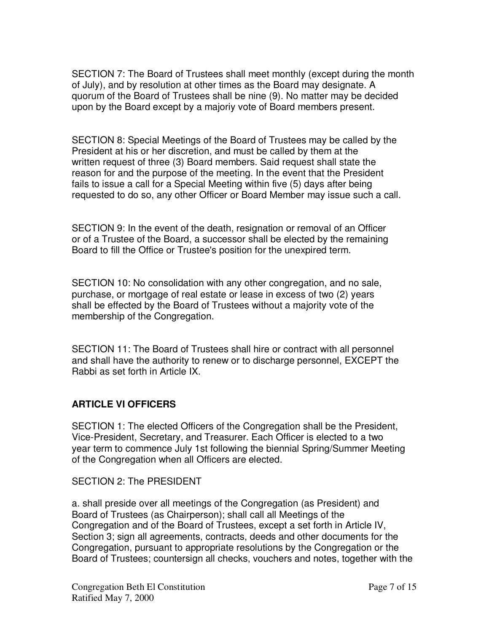SECTION 7: The Board of Trustees shall meet monthly (except during the month of July), and by resolution at other times as the Board may designate. A quorum of the Board of Trustees shall be nine (9). No matter may be decided upon by the Board except by a majoriy vote of Board members present.

SECTION 8: Special Meetings of the Board of Trustees may be called by the President at his or her discretion, and must be called by them at the written request of three (3) Board members. Said request shall state the reason for and the purpose of the meeting. In the event that the President fails to issue a call for a Special Meeting within five (5) days after being requested to do so, any other Officer or Board Member may issue such a call.

SECTION 9: In the event of the death, resignation or removal of an Officer or of a Trustee of the Board, a successor shall be elected by the remaining Board to fill the Office or Trustee's position for the unexpired term.

SECTION 10: No consolidation with any other congregation, and no sale, purchase, or mortgage of real estate or lease in excess of two (2) years shall be effected by the Board of Trustees without a majority vote of the membership of the Congregation.

SECTION 11: The Board of Trustees shall hire or contract with all personnel and shall have the authority to renew or to discharge personnel, EXCEPT the Rabbi as set forth in Article IX.

# **ARTICLE VI OFFICERS**

SECTION 1: The elected Officers of the Congregation shall be the President, Vice-President, Secretary, and Treasurer. Each Officer is elected to a two year term to commence July 1st following the biennial Spring/Summer Meeting of the Congregation when all Officers are elected.

SECTION 2: The PRESIDENT

a. shall preside over all meetings of the Congregation (as President) and Board of Trustees (as Chairperson); shall call all Meetings of the Congregation and of the Board of Trustees, except a set forth in Article IV, Section 3; sign all agreements, contracts, deeds and other documents for the Congregation, pursuant to appropriate resolutions by the Congregation or the Board of Trustees; countersign all checks, vouchers and notes, together with the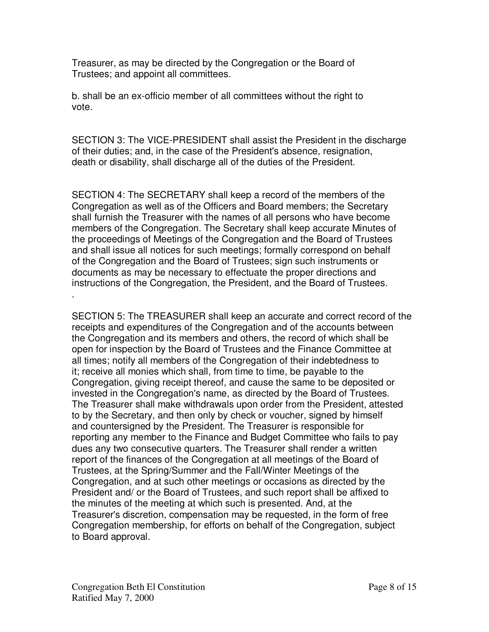Treasurer, as may be directed by the Congregation or the Board of Trustees; and appoint all committees.

b. shall be an ex-officio member of all committees without the right to vote.

SECTION 3: The VICE-PRESIDENT shall assist the President in the discharge of their duties; and, in the case of the President's absence, resignation, death or disability, shall discharge all of the duties of the President.

SECTION 4: The SECRETARY shall keep a record of the members of the Congregation as well as of the Officers and Board members; the Secretary shall furnish the Treasurer with the names of all persons who have become members of the Congregation. The Secretary shall keep accurate Minutes of the proceedings of Meetings of the Congregation and the Board of Trustees and shall issue all notices for such meetings; formally correspond on behalf of the Congregation and the Board of Trustees; sign such instruments or documents as may be necessary to effectuate the proper directions and instructions of the Congregation, the President, and the Board of Trustees. .

SECTION 5: The TREASURER shall keep an accurate and correct record of the receipts and expenditures of the Congregation and of the accounts between the Congregation and its members and others, the record of which shall be open for inspection by the Board of Trustees and the Finance Committee at all times; notify all members of the Congregation of their indebtedness to it; receive all monies which shall, from time to time, be payable to the Congregation, giving receipt thereof, and cause the same to be deposited or invested in the Congregation's name, as directed by the Board of Trustees. The Treasurer shall make withdrawals upon order from the President, attested to by the Secretary, and then only by check or voucher, signed by himself and countersigned by the President. The Treasurer is responsible for reporting any member to the Finance and Budget Committee who fails to pay dues any two consecutive quarters. The Treasurer shall render a written report of the finances of the Congregation at all meetings of the Board of Trustees, at the Spring/Summer and the Fall/Winter Meetings of the Congregation, and at such other meetings or occasions as directed by the President and/ or the Board of Trustees, and such report shall be affixed to the minutes of the meeting at which such is presented. And, at the Treasurer's discretion, compensation may be requested, in the form of free Congregation membership, for efforts on behalf of the Congregation, subject to Board approval.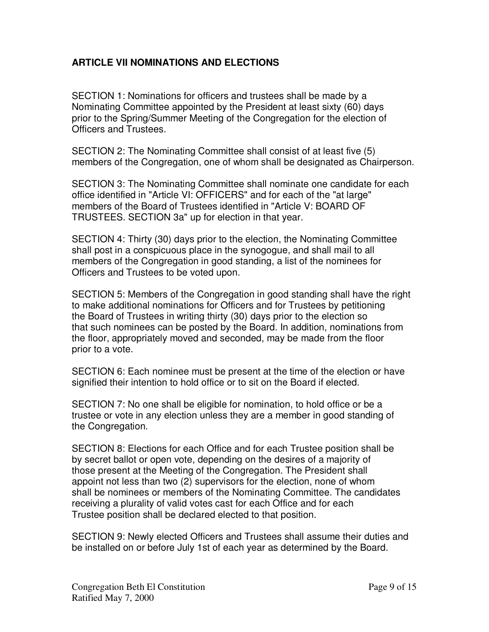### **ARTICLE VII NOMINATIONS AND ELECTIONS**

SECTION 1: Nominations for officers and trustees shall be made by a Nominating Committee appointed by the President at least sixty (60) days prior to the Spring/Summer Meeting of the Congregation for the election of Officers and Trustees.

SECTION 2: The Nominating Committee shall consist of at least five (5) members of the Congregation, one of whom shall be designated as Chairperson.

SECTION 3: The Nominating Committee shall nominate one candidate for each office identified in "Article VI: OFFICERS" and for each of the "at large" members of the Board of Trustees identified in "Article V: BOARD OF TRUSTEES. SECTION 3a" up for election in that year.

SECTION 4: Thirty (30) days prior to the election, the Nominating Committee shall post in a conspicuous place in the synogogue, and shall mail to all members of the Congregation in good standing, a list of the nominees for Officers and Trustees to be voted upon.

SECTION 5: Members of the Congregation in good standing shall have the right to make additional nominations for Officers and for Trustees by petitioning the Board of Trustees in writing thirty (30) days prior to the election so that such nominees can be posted by the Board. In addition, nominations from the floor, appropriately moved and seconded, may be made from the floor prior to a vote.

SECTION 6: Each nominee must be present at the time of the election or have signified their intention to hold office or to sit on the Board if elected.

SECTION 7: No one shall be eligible for nomination, to hold office or be a trustee or vote in any election unless they are a member in good standing of the Congregation.

SECTION 8: Elections for each Office and for each Trustee position shall be by secret ballot or open vote, depending on the desires of a majority of those present at the Meeting of the Congregation. The President shall appoint not less than two (2) supervisors for the election, none of whom shall be nominees or members of the Nominating Committee. The candidates receiving a plurality of valid votes cast for each Office and for each Trustee position shall be declared elected to that position.

SECTION 9: Newly elected Officers and Trustees shall assume their duties and be installed on or before July 1st of each year as determined by the Board.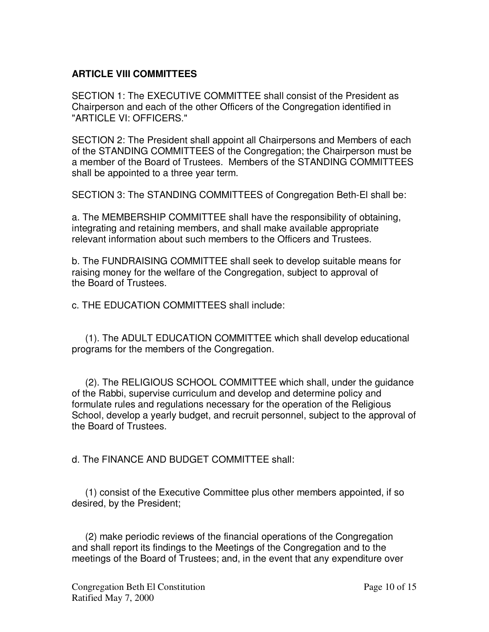### **ARTICLE VIII COMMITTEES**

SECTION 1: The EXECUTIVE COMMITTEE shall consist of the President as Chairperson and each of the other Officers of the Congregation identified in "ARTICLE VI: OFFICERS."

SECTION 2: The President shall appoint all Chairpersons and Members of each of the STANDING COMMITTEES of the Congregation; the Chairperson must be a member of the Board of Trustees. Members of the STANDING COMMITTEES shall be appointed to a three year term.

SECTION 3: The STANDING COMMITTEES of Congregation Beth-El shall be:

a. The MEMBERSHIP COMMITTEE shall have the responsibility of obtaining, integrating and retaining members, and shall make available appropriate relevant information about such members to the Officers and Trustees.

b. The FUNDRAISING COMMITTEE shall seek to develop suitable means for raising money for the welfare of the Congregation, subject to approval of the Board of Trustees.

c. THE EDUCATION COMMITTEES shall include:

(1). The ADULT EDUCATION COMMITTEE which shall develop educational programs for the members of the Congregation.

(2). The RELIGIOUS SCHOOL COMMITTEE which shall, under the guidance of the Rabbi, supervise curriculum and develop and determine policy and formulate rules and regulations necessary for the operation of the Religious School, develop a yearly budget, and recruit personnel, subject to the approval of the Board of Trustees.

d. The FINANCE AND BUDGET COMMITTEE shall:

(1) consist of the Executive Committee plus other members appointed, if so desired, by the President;

(2) make periodic reviews of the financial operations of the Congregation and shall report its findings to the Meetings of the Congregation and to the meetings of the Board of Trustees; and, in the event that any expenditure over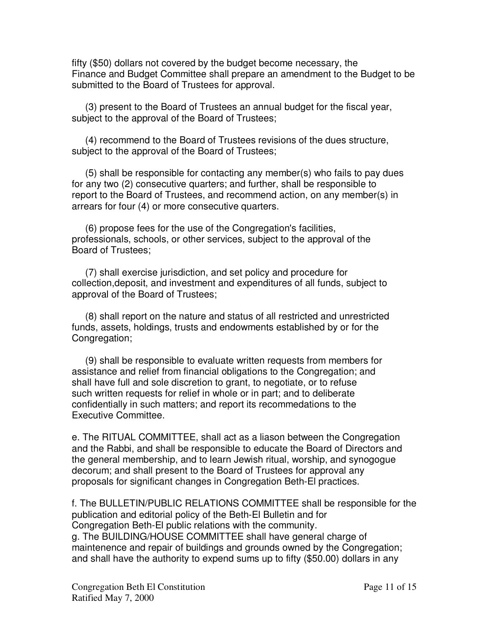fifty (\$50) dollars not covered by the budget become necessary, the Finance and Budget Committee shall prepare an amendment to the Budget to be submitted to the Board of Trustees for approval.

(3) present to the Board of Trustees an annual budget for the fiscal year, subject to the approval of the Board of Trustees;

(4) recommend to the Board of Trustees revisions of the dues structure, subject to the approval of the Board of Trustees;

(5) shall be responsible for contacting any member(s) who fails to pay dues for any two (2) consecutive quarters; and further, shall be responsible to report to the Board of Trustees, and recommend action, on any member(s) in arrears for four (4) or more consecutive quarters.

(6) propose fees for the use of the Congregation's facilities, professionals, schools, or other services, subject to the approval of the Board of Trustees;

(7) shall exercise jurisdiction, and set policy and procedure for collection,deposit, and investment and expenditures of all funds, subject to approval of the Board of Trustees;

(8) shall report on the nature and status of all restricted and unrestricted funds, assets, holdings, trusts and endowments established by or for the Congregation;

(9) shall be responsible to evaluate written requests from members for assistance and relief from financial obligations to the Congregation; and shall have full and sole discretion to grant, to negotiate, or to refuse such written requests for relief in whole or in part; and to deliberate confidentially in such matters; and report its recommedations to the Executive Committee.

e. The RITUAL COMMITTEE, shall act as a liason between the Congregation and the Rabbi, and shall be responsible to educate the Board of Directors and the general membership, and to learn Jewish ritual, worship, and synogogue decorum; and shall present to the Board of Trustees for approval any proposals for significant changes in Congregation Beth-El practices.

f. The BULLETIN/PUBLIC RELATIONS COMMITTEE shall be responsible for the publication and editorial policy of the Beth-El Bulletin and for Congregation Beth-El public relations with the community. g. The BUILDING/HOUSE COMMITTEE shall have general charge of maintenence and repair of buildings and grounds owned by the Congregation; and shall have the authority to expend sums up to fifty (\$50.00) dollars in any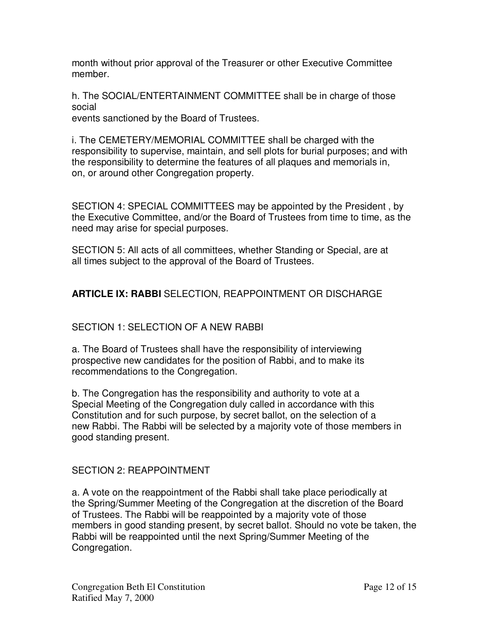month without prior approval of the Treasurer or other Executive Committee member.

h. The SOCIAL/ENTERTAINMENT COMMITTEE shall be in charge of those social

events sanctioned by the Board of Trustees.

i. The CEMETERY/MEMORIAL COMMITTEE shall be charged with the responsibility to supervise, maintain, and sell plots for burial purposes; and with the responsibility to determine the features of all plaques and memorials in, on, or around other Congregation property.

SECTION 4: SPECIAL COMMITTEES may be appointed by the President , by the Executive Committee, and/or the Board of Trustees from time to time, as the need may arise for special purposes.

SECTION 5: All acts of all committees, whether Standing or Special, are at all times subject to the approval of the Board of Trustees.

# **ARTICLE IX: RABBI** SELECTION, REAPPOINTMENT OR DISCHARGE

# SECTION 1: SELECTION OF A NEW RABBL

a. The Board of Trustees shall have the responsibility of interviewing prospective new candidates for the position of Rabbi, and to make its recommendations to the Congregation.

b. The Congregation has the responsibility and authority to vote at a Special Meeting of the Congregation duly called in accordance with this Constitution and for such purpose, by secret ballot, on the selection of a new Rabbi. The Rabbi will be selected by a majority vote of those members in good standing present.

# SECTION 2: REAPPOINTMENT

a. A vote on the reappointment of the Rabbi shall take place periodically at the Spring/Summer Meeting of the Congregation at the discretion of the Board of Trustees. The Rabbi will be reappointed by a majority vote of those members in good standing present, by secret ballot. Should no vote be taken, the Rabbi will be reappointed until the next Spring/Summer Meeting of the Congregation.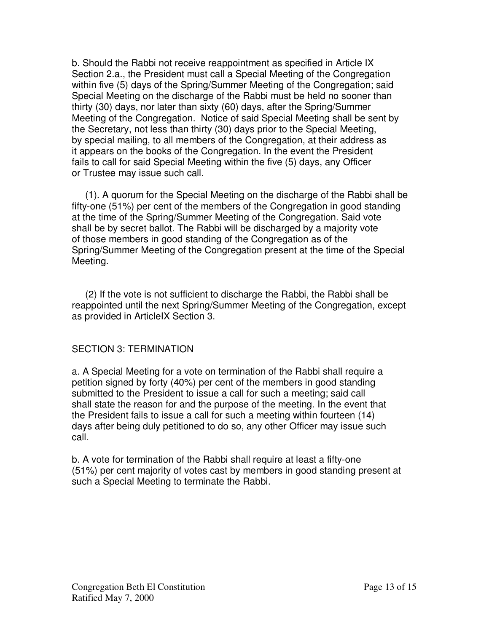b. Should the Rabbi not receive reappointment as specified in Article IX Section 2.a., the President must call a Special Meeting of the Congregation within five (5) days of the Spring/Summer Meeting of the Congregation; said Special Meeting on the discharge of the Rabbi must be held no sooner than thirty (30) days, nor later than sixty (60) days, after the Spring/Summer Meeting of the Congregation. Notice of said Special Meeting shall be sent by the Secretary, not less than thirty (30) days prior to the Special Meeting, by special mailing, to all members of the Congregation, at their address as it appears on the books of the Congregation. In the event the President fails to call for said Special Meeting within the five (5) days, any Officer or Trustee may issue such call.

(1). A quorum for the Special Meeting on the discharge of the Rabbi shall be fifty-one (51%) per cent of the members of the Congregation in good standing at the time of the Spring/Summer Meeting of the Congregation. Said vote shall be by secret ballot. The Rabbi will be discharged by a majority vote of those members in good standing of the Congregation as of the Spring/Summer Meeting of the Congregation present at the time of the Special Meeting.

(2) If the vote is not sufficient to discharge the Rabbi, the Rabbi shall be reappointed until the next Spring/Summer Meeting of the Congregation, except as provided in ArticleIX Section 3.

#### SECTION 3: TERMINATION

a. A Special Meeting for a vote on termination of the Rabbi shall require a petition signed by forty (40%) per cent of the members in good standing submitted to the President to issue a call for such a meeting; said call shall state the reason for and the purpose of the meeting. In the event that the President fails to issue a call for such a meeting within fourteen (14) days after being duly petitioned to do so, any other Officer may issue such call.

b. A vote for termination of the Rabbi shall require at least a fifty-one (51%) per cent majority of votes cast by members in good standing present at such a Special Meeting to terminate the Rabbi.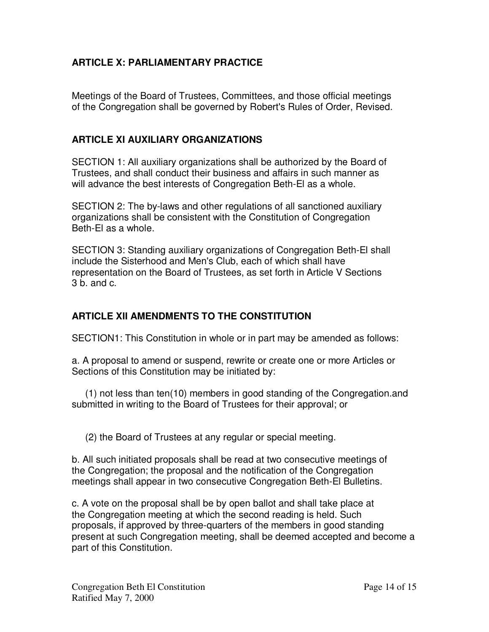# **ARTICLE X: PARLIAMENTARY PRACTICE**

Meetings of the Board of Trustees, Committees, and those official meetings of the Congregation shall be governed by Robert's Rules of Order, Revised.

### **ARTICLE XI AUXILIARY ORGANIZATIONS**

SECTION 1: All auxiliary organizations shall be authorized by the Board of Trustees, and shall conduct their business and affairs in such manner as will advance the best interests of Congregation Beth-El as a whole.

SECTION 2: The by-laws and other regulations of all sanctioned auxiliary organizations shall be consistent with the Constitution of Congregation Beth-El as a whole.

SECTION 3: Standing auxiliary organizations of Congregation Beth-El shall include the Sisterhood and Men's Club, each of which shall have representation on the Board of Trustees, as set forth in Article V Sections 3 b. and c.

## **ARTICLE XII AMENDMENTS TO THE CONSTITUTION**

SECTION1: This Constitution in whole or in part may be amended as follows:

a. A proposal to amend or suspend, rewrite or create one or more Articles or Sections of this Constitution may be initiated by:

(1) not less than ten(10) members in good standing of the Congregation.and submitted in writing to the Board of Trustees for their approval; or

(2) the Board of Trustees at any regular or special meeting.

b. All such initiated proposals shall be read at two consecutive meetings of the Congregation; the proposal and the notification of the Congregation meetings shall appear in two consecutive Congregation Beth-El Bulletins.

c. A vote on the proposal shall be by open ballot and shall take place at the Congregation meeting at which the second reading is held. Such proposals, if approved by three-quarters of the members in good standing present at such Congregation meeting, shall be deemed accepted and become a part of this Constitution.